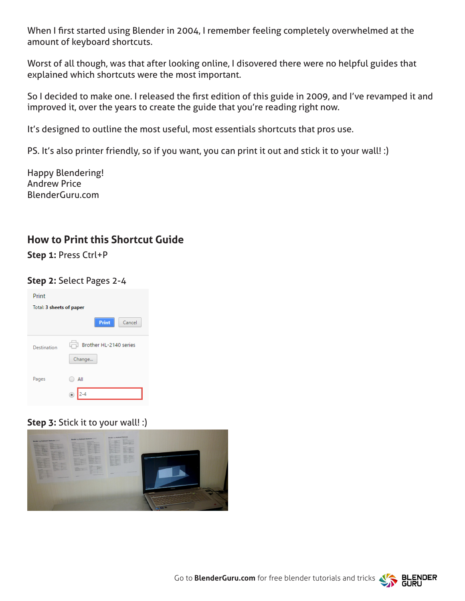When I first started using Blender in 2004, I remember feeling completely overwhelmed at the amount of keyboard shortcuts.

Worst of all though, was that after looking online, I disovered there were no helpful guides that explained which shortcuts were the most important.

So I decided to make one. I released the first edition of this guide in 2009, and I've revamped it and improved it, over the years to create the guide that you're reading right now.

It's designed to outline the most useful, most essentials shortcuts that pros use.

PS. It's also printer friendly, so if you want, you can print it out and stick it to your wall! :)

Happy Blendering! Andrew Price BlenderGuru.com

#### **How to Print this Shortcut Guide**

**Step 1:** Press Ctrl+P

#### **Step 2:** Select Pages 2-4

| Print                    |                                  |
|--------------------------|----------------------------------|
| Total: 3 sheets of paper |                                  |
|                          | <b>Print</b><br>Cancel           |
| Destination              | Brother HL-2140 series<br>Change |
| Pages                    | All                              |

**Step 3: Stick it to your wall! :)** 



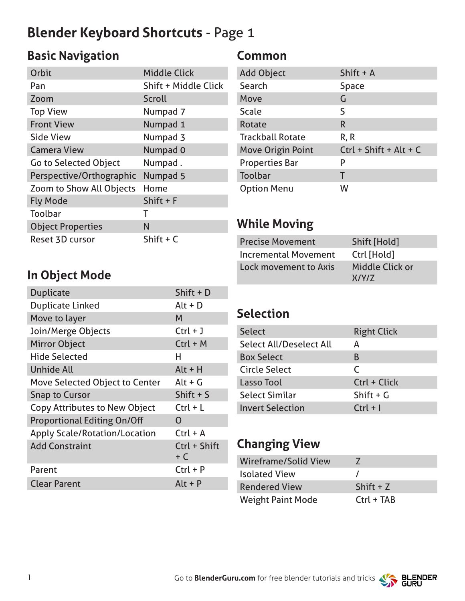# **Blender Keyboard Shortcuts** - Page 1

# **Basic Navigation**

| Orbit                        | <b>Middle Click</b>         |
|------------------------------|-----------------------------|
| Pan                          | <b>Shift + Middle Click</b> |
| Zoom                         | Scroll                      |
| <b>Top View</b>              | Numpad 7                    |
| <b>Front View</b>            | Numpad 1                    |
| Side View                    | Numpad 3                    |
| <b>Camera View</b>           | Numpad 0                    |
| <b>Go to Selected Object</b> | Numpad.                     |
| Perspective/Orthographic     | Numpad 5                    |
| Zoom to Show All Objects     | Home                        |
| <b>Fly Mode</b>              | Shift $+$ F                 |
| Toolbar                      | т                           |
| <b>Object Properties</b>     | N                           |
| Reset 3D cursor              | Shift $+ C$                 |

#### **Common**

| Shift $+$ A              |
|--------------------------|
| <b>Space</b>             |
| G                        |
| S                        |
| R                        |
| R, R                     |
| $Ctrl + Shift + Alt + C$ |
| P                        |
| Т                        |
| W                        |
|                          |

## **While Moving**

| <b>Precise Movement</b>     | Shift [Hold]    |
|-----------------------------|-----------------|
| <b>Incremental Movement</b> | Ctrl [Hold]     |
| Lock movement to Axis       | Middle Click or |
|                             | X/Y/Z           |

#### **In Object Mode**

| Shift + D             |
|-----------------------|
| $Alt + D$             |
| M                     |
| $Ctrl + J$            |
| $Ctrl + M$            |
| н                     |
| $Alt + H$             |
| $Alt + G$             |
| Shift $+$ S           |
| $Ctrl + L$            |
| O                     |
| $Ctrl + A$            |
| Ctrl + Shift<br>$+ C$ |
| $Ctrl + P$            |
| $Alt + P$             |
|                       |

#### **Selection**

| <b>Select</b>                  | <b>Right Click</b> |
|--------------------------------|--------------------|
| <b>Select All/Deselect All</b> | A                  |
| <b>Box Select</b>              | B                  |
| <b>Circle Select</b>           | $\mathcal{C}$      |
| Lasso Tool                     | Ctrl + Click       |
| <b>Select Similar</b>          | Shift $+G$         |
| <b>Invert Selection</b>        | $Ctrl + I$         |

#### **Changing View**

| Wireframe/Solid View     | $\prime$     |
|--------------------------|--------------|
| <b>Isolated View</b>     |              |
| Rendered View            | Shift $+Z$   |
| <b>Weight Paint Mode</b> | $Ctrl + TAB$ |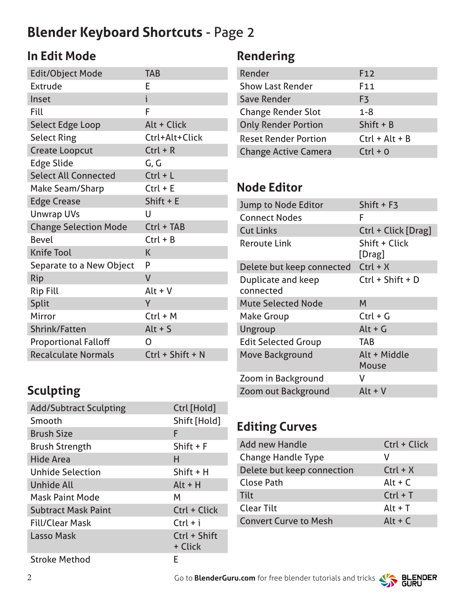# **Blender Keyboard Shortcuts** - Page 2

## **In Edit Mode**

| <b>Edit/Object Mode</b>      | <b>TAB</b>         |
|------------------------------|--------------------|
| Extrude                      | E                  |
| Inset                        | i                  |
| Fill                         | F                  |
| <b>Select Edge Loop</b>      | Alt + Click        |
| <b>Select Ring</b>           | Ctrl+Alt+Click     |
| <b>Create Loopcut</b>        | $Ctrl + R$         |
| <b>Edge Slide</b>            | G, G               |
| <b>Select All Connected</b>  | $Ctrl + L$         |
| Make Seam/Sharp              | $Ctrl + E$         |
| <b>Edge Crease</b>           | Shift $+ E$        |
| <b>Unwrap UVs</b>            | U                  |
| <b>Change Selection Mode</b> | Ctrl + TAB         |
| <b>Bevel</b>                 | $Ctrl + B$         |
| <b>Knife Tool</b>            | K                  |
| Separate to a New Object     | P                  |
| Rip                          | $\mathsf{V}$       |
| <b>Rip Fill</b>              | $Alt + V$          |
| Split                        | Y                  |
| Mirror                       | $Ctrl + M$         |
| Shrink/Fatten                | $Alt + S$          |
| <b>Proportional Falloff</b>  | 0                  |
| <b>Recalculate Normals</b>   | $Ctrl + Shift + N$ |

## **Sculpting**

| <b>Add/Subtract Sculpting</b> | Ctrl [Hold]             |
|-------------------------------|-------------------------|
| Smooth                        | Shift [Hold]            |
| <b>Brush Size</b>             | F                       |
| <b>Brush Strength</b>         | Shift $+$ F             |
| <b>Hide Area</b>              | н                       |
| <b>Unhide Selection</b>       | Shift + H               |
| Unhide All                    | $Alt + H$               |
| <b>Mask Paint Mode</b>        | м                       |
| <b>Subtract Mask Paint</b>    | Ctrl + Click            |
| Fill/Clear Mask               | $Ctrl + i$              |
| Lasso Mask                    | Ctrl + Shift<br>+ Click |
| <b>Stroke Method</b>          | F                       |

## **Rendering**

| Render                      | F <sub>12</sub>  |
|-----------------------------|------------------|
| <b>Show Last Render</b>     | F <sub>11</sub>  |
| Save Render                 | F3               |
| <b>Change Render Slot</b>   | $1 - 8$          |
| <b>Only Render Portion</b>  | Shift $+ B$      |
| <b>Reset Render Portion</b> | $Ctrl + Alt + B$ |
| <b>Change Active Camera</b> | $Ctrl + 0$       |

## **Node Editor**

| Jump to Node Editor             | Shift + F3              |
|---------------------------------|-------------------------|
| <b>Connect Nodes</b>            | F                       |
| <b>Cut Links</b>                | Ctrl + Click [Drag]     |
| <b>Reroute Link</b>             | Shift + Click<br>[Drag] |
| Delete but keep connected       | $Ctrl + X$              |
| Duplicate and keep<br>connected | $Ctrl + Shift + D$      |
| <b>Mute Selected Node</b>       | M                       |
| <b>Make Group</b>               | $Ctrl + G$              |
| Ungroup                         | $Alt + G$               |
| <b>Edit Selected Group</b>      | <b>TAB</b>              |
| Move Background                 | Alt + Middle<br>Mouse   |
| Zoom in Background              | v                       |
| Zoom out Background             | $Alt + V$               |

## **Editing Curves**

| <b>Add new Handle</b>        | Ctrl + Click |
|------------------------------|--------------|
| <b>Change Handle Type</b>    | v            |
| Delete but keep connection   | $Ctrl + X$   |
| <b>Close Path</b>            | Alt + $C$    |
| <b>Tilt</b>                  | $Ctrl + T$   |
| <b>Clear Tilt</b>            | $Alt + T$    |
| <b>Convert Curve to Mesh</b> | Alt + $C$    |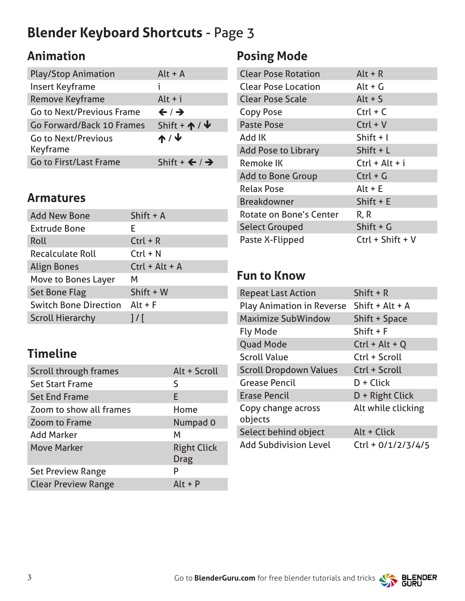# **Blender Keyboard Shortcuts** - Page 3

## **Animation**

| <b>Play/Stop Animation</b>             | $Alt + A$                            |
|----------------------------------------|--------------------------------------|
| <b>Insert Keyframe</b>                 | ı.                                   |
| <b>Remove Keyframe</b>                 | $Alt + i$                            |
| <b>Go to Next/Previous Frame</b>       | $\leftarrow$ / $\rightarrow$         |
| Go Forward/Back 10 Frames              | Shift + $\uparrow$ / $\uparrow$      |
| <b>Go to Next/Previous</b><br>Keyframe | ↑/↓                                  |
| <b>Go to First/Last Frame</b>          | Shift + $\leftarrow$ / $\rightarrow$ |

#### **Armatures**

| <b>Add New Bone</b>          | Shift $+$ A      |
|------------------------------|------------------|
| <b>Extrude Bone</b>          | F.               |
| Roll                         | $Ctrl + R$       |
| <b>Recalculate Roll</b>      | $Ctrl + N$       |
| <b>Align Bones</b>           | $Ctrl + Alt + A$ |
| Move to Bones Layer          | м                |
| <b>Set Bone Flag</b>         | Shift + W        |
| <b>Switch Bone Direction</b> | $Alt + F$        |
| <b>Scroll Hierarchy</b>      | $1/\Gamma$       |

### **Timeline**

| Scroll through frames      | Alt + Scroll                      |
|----------------------------|-----------------------------------|
| <b>Set Start Frame</b>     | S                                 |
| <b>Set End Frame</b>       | E                                 |
| Zoom to show all frames    | Home                              |
| <b>Zoom to Frame</b>       | Numpad 0                          |
| <b>Add Marker</b>          | м                                 |
| <b>Move Marker</b>         | <b>Right Click</b><br><b>Drag</b> |
| <b>Set Preview Range</b>   | P                                 |
| <b>Clear Preview Range</b> | $Alt + P$                         |

#### **Posing Mode**

| <b>Clear Pose Rotation</b> | $Alt + R$          |
|----------------------------|--------------------|
| <b>Clear Pose Location</b> | $Alt + G$          |
| <b>Clear Pose Scale</b>    | Alt $+$ S          |
| <b>Copy Pose</b>           | $Ctrl + C$         |
| <b>Paste Pose</b>          | $Ctrl + V$         |
| Add IK                     | Shift $+1$         |
| <b>Add Pose to Library</b> | Shift $+L$         |
| <b>Remoke IK</b>           | $Ctrl + Alt + i$   |
| <b>Add to Bone Group</b>   | $Ctrl + G$         |
| <b>Relax Pose</b>          | $Alt + E$          |
| <b>Breakdowner</b>         | Shift $+ E$        |
| Rotate on Bone's Center    | R, R               |
| <b>Select Grouped</b>      | Shift $+G$         |
| Paste X-Flipped            | $Ctrl + Shift + V$ |
|                            |                    |

## **Fun to Know**

| <b>Repeat Last Action</b>                 | Shift $+ R$          |
|-------------------------------------------|----------------------|
| Play Animation in Reverse Shift + Alt + A |                      |
| <b>Maximize SubWindow</b>                 | <b>Shift + Space</b> |
| <b>Fly Mode</b>                           | Shift $+$ F          |
| <b>Quad Mode</b>                          | $Ctrl + Alt + Q$     |
| <b>Scroll Value</b>                       | Ctrl + Scroll        |
| <b>Scroll Dropdown Values</b>             | Ctrl + Scroll        |
| <b>Grease Pencil</b>                      | $D + Click$          |
| <b>Erase Pencil</b>                       | D + Right Click      |
| Copy change across<br>objects             | Alt while clicking   |
| Select behind object                      | Alt + Click          |
| <b>Add Subdivision Level</b>              | $Ctrl + 0/1/2/3/4/5$ |